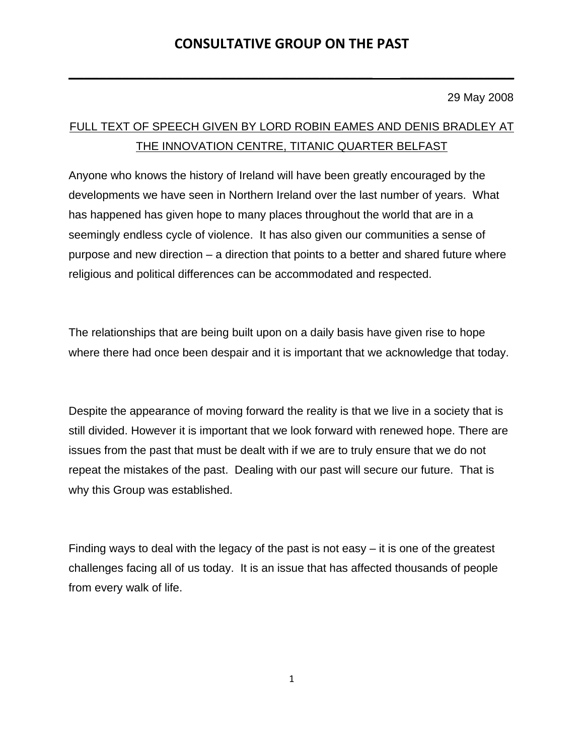**\_\_\_\_\_\_\_\_\_\_\_\_\_\_\_\_\_\_\_\_\_\_\_\_\_\_\_\_\_\_\_\_\_\_\_\_\_\_\_\_ \_\_\_\_\_\_\_\_\_\_\_\_\_\_\_**

29 May 2008

# FULL TEXT OF SPEECH GIVEN BY LORD ROBIN EAMES AND DENIS BRADLEY AT THE INNOVATION CENTRE, TITANIC QUARTER BELFAST

Anyone who knows the history of Ireland will have been greatly encouraged by the developments we have seen in Northern Ireland over the last number of years. What has happened has given hope to many places throughout the world that are in a seemingly endless cycle of violence. It has also given our communities a sense of purpose and new direction – a direction that points to a better and shared future where religious and political differences can be accommodated and respected.

The relationships that are being built upon on a daily basis have given rise to hope where there had once been despair and it is important that we acknowledge that today.

Despite the appearance of moving forward the reality is that we live in a society that is still divided. However it is important that we look forward with renewed hope. There are issues from the past that must be dealt with if we are to truly ensure that we do not repeat the mistakes of the past. Dealing with our past will secure our future. That is why this Group was established.

Finding ways to deal with the legacy of the past is not easy – it is one of the greatest challenges facing all of us today. It is an issue that has affected thousands of people from every walk of life.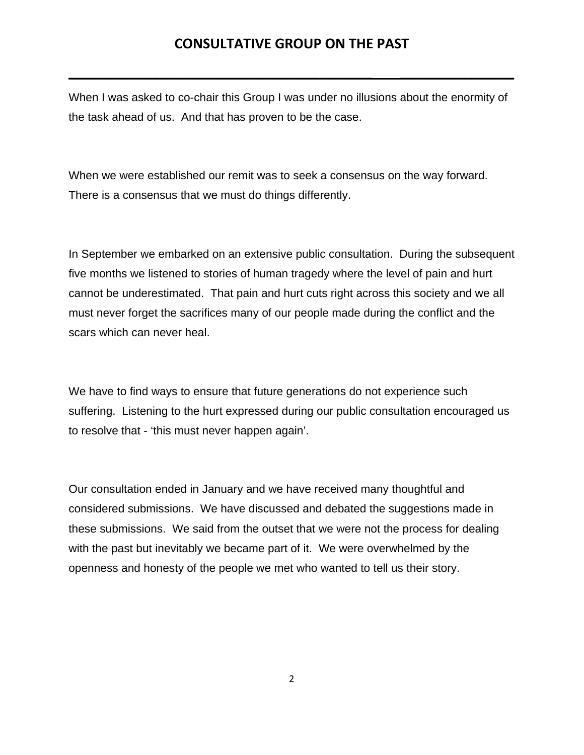**\_\_\_\_\_\_\_\_\_\_\_\_\_\_\_\_\_\_\_\_\_\_\_\_\_\_\_\_\_\_\_\_\_\_\_\_\_\_\_\_ \_\_\_\_\_\_\_\_\_\_\_\_\_\_\_**

When I was asked to co-chair this Group I was under no illusions about the enormity of the task ahead of us. And that has proven to be the case.

When we were established our remit was to seek a consensus on the way forward. There is a consensus that we must do things differently.

In September we embarked on an extensive public consultation. During the subsequent five months we listened to stories of human tragedy where the level of pain and hurt cannot be underestimated. That pain and hurt cuts right across this society and we all must never forget the sacrifices many of our people made during the conflict and the scars which can never heal.

We have to find ways to ensure that future generations do not experience such suffering. Listening to the hurt expressed during our public consultation encouraged us to resolve that - 'this must never happen again'.

Our consultation ended in January and we have received many thoughtful and considered submissions. We have discussed and debated the suggestions made in these submissions. We said from the outset that we were not the process for dealing with the past but inevitably we became part of it. We were overwhelmed by the openness and honesty of the people we met who wanted to tell us their story.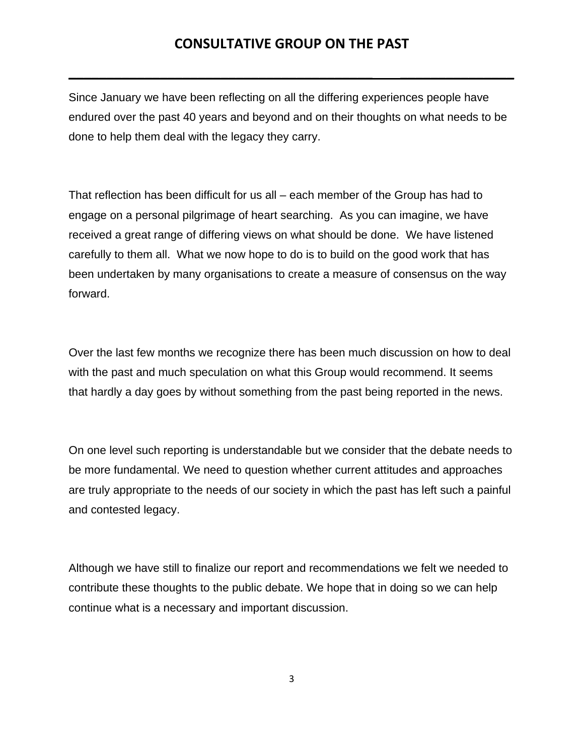**\_\_\_\_\_\_\_\_\_\_\_\_\_\_\_\_\_\_\_\_\_\_\_\_\_\_\_\_\_\_\_\_\_\_\_\_\_\_\_\_ \_\_\_\_\_\_\_\_\_\_\_\_\_\_\_**

Since January we have been reflecting on all the differing experiences people have endured over the past 40 years and beyond and on their thoughts on what needs to be done to help them deal with the legacy they carry.

That reflection has been difficult for us all – each member of the Group has had to engage on a personal pilgrimage of heart searching. As you can imagine, we have received a great range of differing views on what should be done. We have listened carefully to them all. What we now hope to do is to build on the good work that has been undertaken by many organisations to create a measure of consensus on the way forward.

Over the last few months we recognize there has been much discussion on how to deal with the past and much speculation on what this Group would recommend. It seems that hardly a day goes by without something from the past being reported in the news.

On one level such reporting is understandable but we consider that the debate needs to be more fundamental. We need to question whether current attitudes and approaches are truly appropriate to the needs of our society in which the past has left such a painful and contested legacy.

Although we have still to finalize our report and recommendations we felt we needed to contribute these thoughts to the public debate. We hope that in doing so we can help continue what is a necessary and important discussion.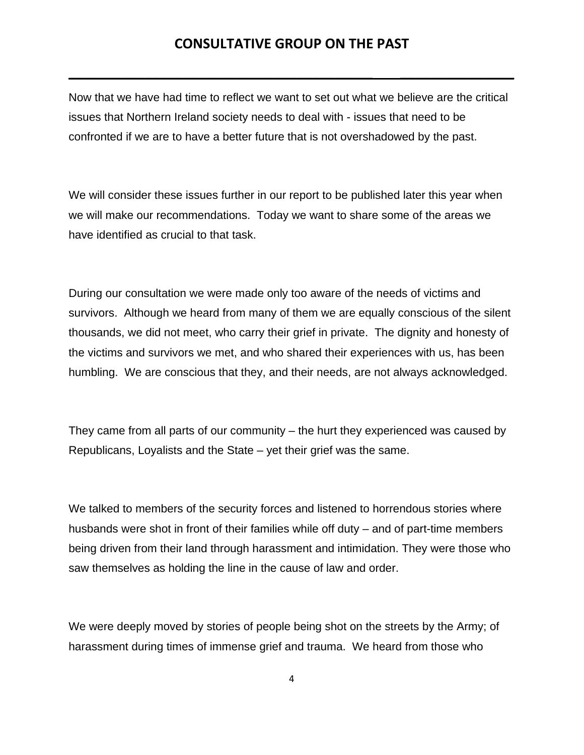**\_\_\_\_\_\_\_\_\_\_\_\_\_\_\_\_\_\_\_\_\_\_\_\_\_\_\_\_\_\_\_\_\_\_\_\_\_\_\_\_ \_\_\_\_\_\_\_\_\_\_\_\_\_\_\_**

Now that we have had time to reflect we want to set out what we believe are the critical issues that Northern Ireland society needs to deal with - issues that need to be confronted if we are to have a better future that is not overshadowed by the past.

We will consider these issues further in our report to be published later this year when we will make our recommendations. Today we want to share some of the areas we have identified as crucial to that task.

During our consultation we were made only too aware of the needs of victims and survivors. Although we heard from many of them we are equally conscious of the silent thousands, we did not meet, who carry their grief in private. The dignity and honesty of the victims and survivors we met, and who shared their experiences with us, has been humbling. We are conscious that they, and their needs, are not always acknowledged.

They came from all parts of our community – the hurt they experienced was caused by Republicans, Loyalists and the State – yet their grief was the same.

We talked to members of the security forces and listened to horrendous stories where husbands were shot in front of their families while off duty – and of part-time members being driven from their land through harassment and intimidation. They were those who saw themselves as holding the line in the cause of law and order.

We were deeply moved by stories of people being shot on the streets by the Army; of harassment during times of immense grief and trauma. We heard from those who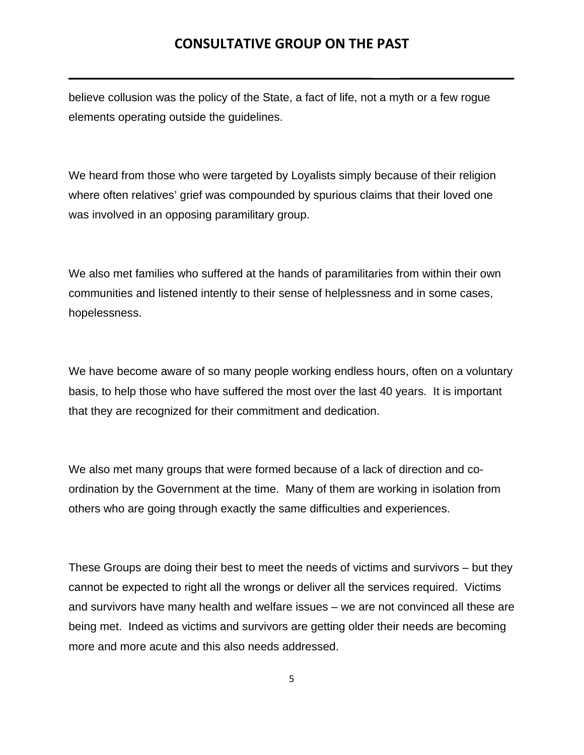**\_\_\_\_\_\_\_\_\_\_\_\_\_\_\_\_\_\_\_\_\_\_\_\_\_\_\_\_\_\_\_\_\_\_\_\_\_\_\_\_ \_\_\_\_\_\_\_\_\_\_\_\_\_\_\_**

believe collusion was the policy of the State, a fact of life, not a myth or a few rogue elements operating outside the guidelines.

We heard from those who were targeted by Loyalists simply because of their religion where often relatives' grief was compounded by spurious claims that their loved one was involved in an opposing paramilitary group.

We also met families who suffered at the hands of paramilitaries from within their own communities and listened intently to their sense of helplessness and in some cases, hopelessness.

We have become aware of so many people working endless hours, often on a voluntary basis, to help those who have suffered the most over the last 40 years. It is important that they are recognized for their commitment and dedication.

We also met many groups that were formed because of a lack of direction and coordination by the Government at the time. Many of them are working in isolation from others who are going through exactly the same difficulties and experiences.

These Groups are doing their best to meet the needs of victims and survivors – but they cannot be expected to right all the wrongs or deliver all the services required. Victims and survivors have many health and welfare issues – we are not convinced all these are being met. Indeed as victims and survivors are getting older their needs are becoming more and more acute and this also needs addressed.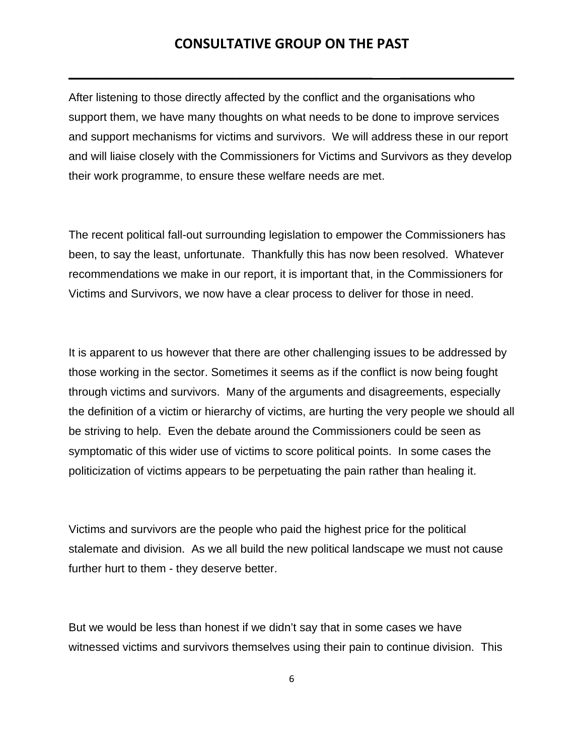**\_\_\_\_\_\_\_\_\_\_\_\_\_\_\_\_\_\_\_\_\_\_\_\_\_\_\_\_\_\_\_\_\_\_\_\_\_\_\_\_ \_\_\_\_\_\_\_\_\_\_\_\_\_\_\_**

After listening to those directly affected by the conflict and the organisations who support them, we have many thoughts on what needs to be done to improve services and support mechanisms for victims and survivors. We will address these in our report and will liaise closely with the Commissioners for Victims and Survivors as they develop their work programme, to ensure these welfare needs are met.

The recent political fall-out surrounding legislation to empower the Commissioners has been, to say the least, unfortunate. Thankfully this has now been resolved. Whatever recommendations we make in our report, it is important that, in the Commissioners for Victims and Survivors, we now have a clear process to deliver for those in need.

It is apparent to us however that there are other challenging issues to be addressed by those working in the sector. Sometimes it seems as if the conflict is now being fought through victims and survivors. Many of the arguments and disagreements, especially the definition of a victim or hierarchy of victims, are hurting the very people we should all be striving to help. Even the debate around the Commissioners could be seen as symptomatic of this wider use of victims to score political points. In some cases the politicization of victims appears to be perpetuating the pain rather than healing it.

Victims and survivors are the people who paid the highest price for the political stalemate and division. As we all build the new political landscape we must not cause further hurt to them - they deserve better.

But we would be less than honest if we didn't say that in some cases we have witnessed victims and survivors themselves using their pain to continue division. This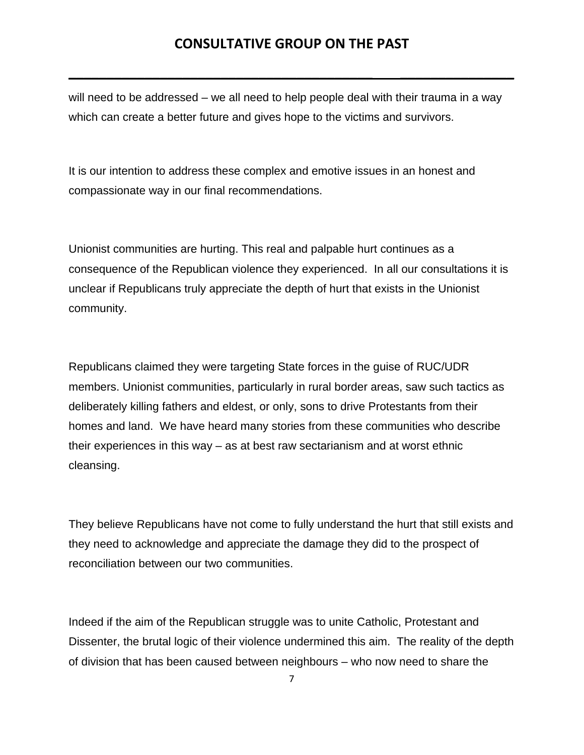**\_\_\_\_\_\_\_\_\_\_\_\_\_\_\_\_\_\_\_\_\_\_\_\_\_\_\_\_\_\_\_\_\_\_\_\_\_\_\_\_ \_\_\_\_\_\_\_\_\_\_\_\_\_\_\_**

will need to be addressed – we all need to help people deal with their trauma in a way which can create a better future and gives hope to the victims and survivors.

It is our intention to address these complex and emotive issues in an honest and compassionate way in our final recommendations.

Unionist communities are hurting. This real and palpable hurt continues as a consequence of the Republican violence they experienced. In all our consultations it is unclear if Republicans truly appreciate the depth of hurt that exists in the Unionist community.

Republicans claimed they were targeting State forces in the guise of RUC/UDR members. Unionist communities, particularly in rural border areas, saw such tactics as deliberately killing fathers and eldest, or only, sons to drive Protestants from their homes and land. We have heard many stories from these communities who describe their experiences in this way – as at best raw sectarianism and at worst ethnic cleansing.

They believe Republicans have not come to fully understand the hurt that still exists and they need to acknowledge and appreciate the damage they did to the prospect of reconciliation between our two communities.

Indeed if the aim of the Republican struggle was to unite Catholic, Protestant and Dissenter, the brutal logic of their violence undermined this aim. The reality of the depth of division that has been caused between neighbours – who now need to share the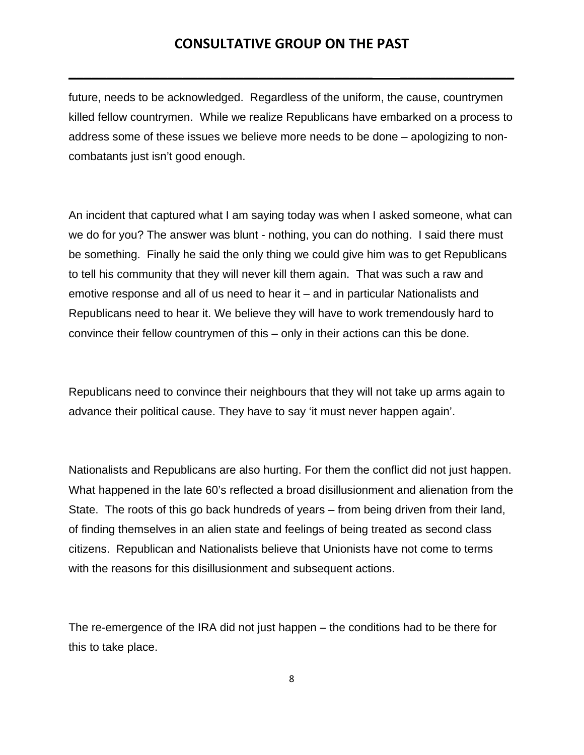**\_\_\_\_\_\_\_\_\_\_\_\_\_\_\_\_\_\_\_\_\_\_\_\_\_\_\_\_\_\_\_\_\_\_\_\_\_\_\_\_ \_\_\_\_\_\_\_\_\_\_\_\_\_\_\_**

future, needs to be acknowledged. Regardless of the uniform, the cause, countrymen killed fellow countrymen. While we realize Republicans have embarked on a process to address some of these issues we believe more needs to be done – apologizing to noncombatants just isn't good enough.

An incident that captured what I am saying today was when I asked someone, what can we do for you? The answer was blunt - nothing, you can do nothing. I said there must be something. Finally he said the only thing we could give him was to get Republicans to tell his community that they will never kill them again. That was such a raw and emotive response and all of us need to hear it – and in particular Nationalists and Republicans need to hear it. We believe they will have to work tremendously hard to convince their fellow countrymen of this – only in their actions can this be done.

Republicans need to convince their neighbours that they will not take up arms again to advance their political cause. They have to say 'it must never happen again'.

Nationalists and Republicans are also hurting. For them the conflict did not just happen. What happened in the late 60's reflected a broad disillusionment and alienation from the State. The roots of this go back hundreds of years – from being driven from their land, of finding themselves in an alien state and feelings of being treated as second class citizens. Republican and Nationalists believe that Unionists have not come to terms with the reasons for this disillusionment and subsequent actions.

The re-emergence of the IRA did not just happen – the conditions had to be there for this to take place.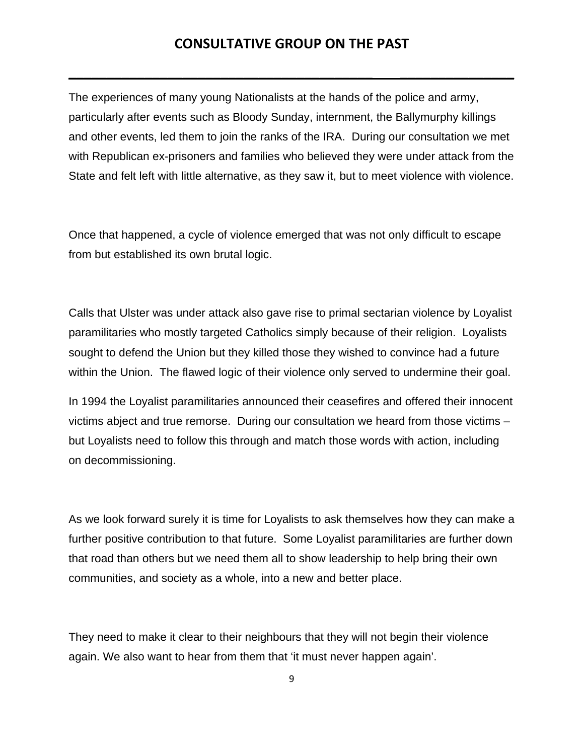**\_\_\_\_\_\_\_\_\_\_\_\_\_\_\_\_\_\_\_\_\_\_\_\_\_\_\_\_\_\_\_\_\_\_\_\_\_\_\_\_ \_\_\_\_\_\_\_\_\_\_\_\_\_\_\_**

The experiences of many young Nationalists at the hands of the police and army, particularly after events such as Bloody Sunday, internment, the Ballymurphy killings and other events, led them to join the ranks of the IRA. During our consultation we met with Republican ex-prisoners and families who believed they were under attack from the State and felt left with little alternative, as they saw it, but to meet violence with violence.

Once that happened, a cycle of violence emerged that was not only difficult to escape from but established its own brutal logic.

Calls that Ulster was under attack also gave rise to primal sectarian violence by Loyalist paramilitaries who mostly targeted Catholics simply because of their religion. Loyalists sought to defend the Union but they killed those they wished to convince had a future within the Union. The flawed logic of their violence only served to undermine their goal.

In 1994 the Loyalist paramilitaries announced their ceasefires and offered their innocent victims abject and true remorse. During our consultation we heard from those victims – but Loyalists need to follow this through and match those words with action, including on decommissioning.

As we look forward surely it is time for Loyalists to ask themselves how they can make a further positive contribution to that future. Some Loyalist paramilitaries are further down that road than others but we need them all to show leadership to help bring their own communities, and society as a whole, into a new and better place.

They need to make it clear to their neighbours that they will not begin their violence again. We also want to hear from them that 'it must never happen again'.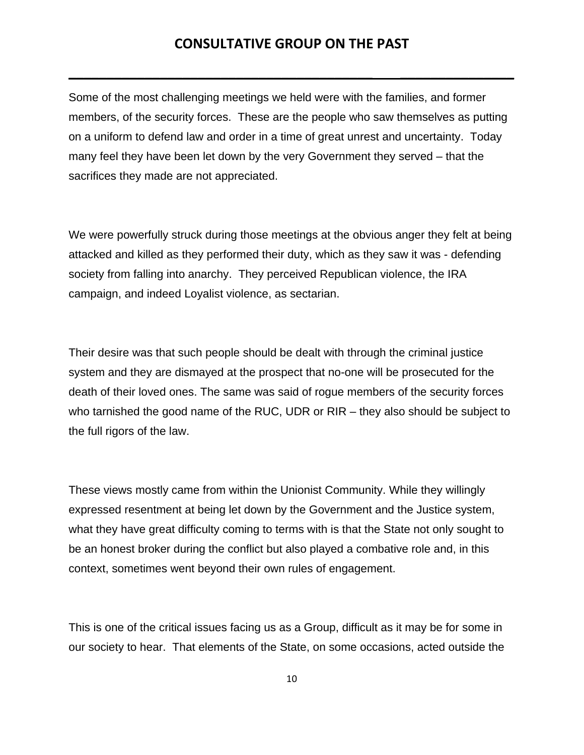**\_\_\_\_\_\_\_\_\_\_\_\_\_\_\_\_\_\_\_\_\_\_\_\_\_\_\_\_\_\_\_\_\_\_\_\_\_\_\_\_ \_\_\_\_\_\_\_\_\_\_\_\_\_\_\_**

Some of the most challenging meetings we held were with the families, and former members, of the security forces. These are the people who saw themselves as putting on a uniform to defend law and order in a time of great unrest and uncertainty. Today many feel they have been let down by the very Government they served – that the sacrifices they made are not appreciated.

We were powerfully struck during those meetings at the obvious anger they felt at being attacked and killed as they performed their duty, which as they saw it was - defending society from falling into anarchy. They perceived Republican violence, the IRA campaign, and indeed Loyalist violence, as sectarian.

Their desire was that such people should be dealt with through the criminal justice system and they are dismayed at the prospect that no-one will be prosecuted for the death of their loved ones. The same was said of rogue members of the security forces who tarnished the good name of the RUC, UDR or RIR – they also should be subject to the full rigors of the law.

These views mostly came from within the Unionist Community. While they willingly expressed resentment at being let down by the Government and the Justice system, what they have great difficulty coming to terms with is that the State not only sought to be an honest broker during the conflict but also played a combative role and, in this context, sometimes went beyond their own rules of engagement.

This is one of the critical issues facing us as a Group, difficult as it may be for some in our society to hear. That elements of the State, on some occasions, acted outside the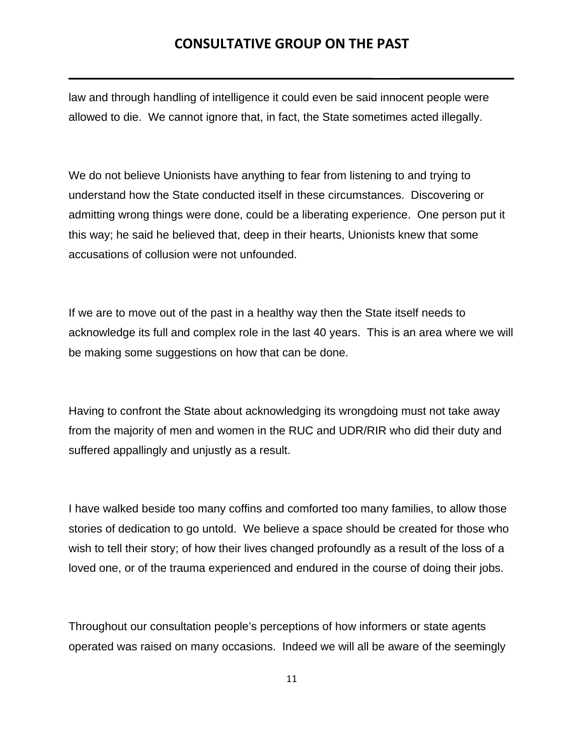**\_\_\_\_\_\_\_\_\_\_\_\_\_\_\_\_\_\_\_\_\_\_\_\_\_\_\_\_\_\_\_\_\_\_\_\_\_\_\_\_ \_\_\_\_\_\_\_\_\_\_\_\_\_\_\_**

law and through handling of intelligence it could even be said innocent people were allowed to die. We cannot ignore that, in fact, the State sometimes acted illegally.

We do not believe Unionists have anything to fear from listening to and trying to understand how the State conducted itself in these circumstances. Discovering or admitting wrong things were done, could be a liberating experience. One person put it this way; he said he believed that, deep in their hearts, Unionists knew that some accusations of collusion were not unfounded.

If we are to move out of the past in a healthy way then the State itself needs to acknowledge its full and complex role in the last 40 years. This is an area where we will be making some suggestions on how that can be done.

Having to confront the State about acknowledging its wrongdoing must not take away from the majority of men and women in the RUC and UDR/RIR who did their duty and suffered appallingly and unjustly as a result.

I have walked beside too many coffins and comforted too many families, to allow those stories of dedication to go untold. We believe a space should be created for those who wish to tell their story; of how their lives changed profoundly as a result of the loss of a loved one, or of the trauma experienced and endured in the course of doing their jobs.

Throughout our consultation people's perceptions of how informers or state agents operated was raised on many occasions. Indeed we will all be aware of the seemingly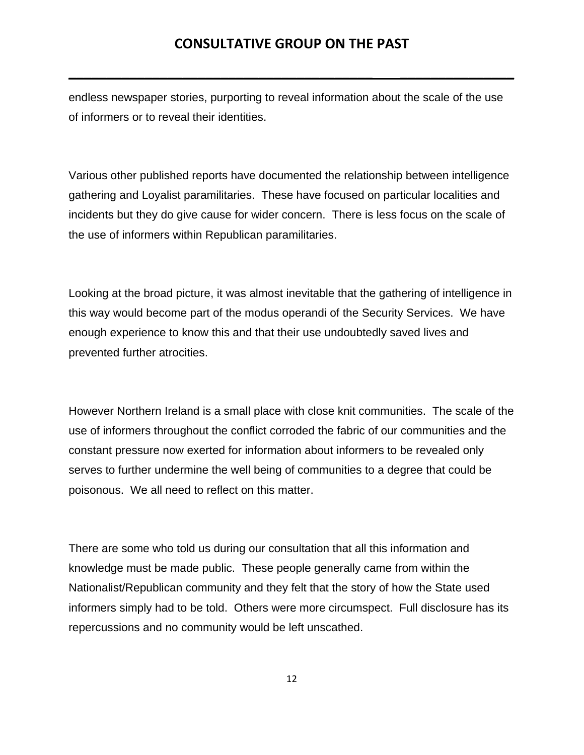**\_\_\_\_\_\_\_\_\_\_\_\_\_\_\_\_\_\_\_\_\_\_\_\_\_\_\_\_\_\_\_\_\_\_\_\_\_\_\_\_ \_\_\_\_\_\_\_\_\_\_\_\_\_\_\_**

endless newspaper stories, purporting to reveal information about the scale of the use of informers or to reveal their identities.

Various other published reports have documented the relationship between intelligence gathering and Loyalist paramilitaries. These have focused on particular localities and incidents but they do give cause for wider concern. There is less focus on the scale of the use of informers within Republican paramilitaries.

Looking at the broad picture, it was almost inevitable that the gathering of intelligence in this way would become part of the modus operandi of the Security Services. We have enough experience to know this and that their use undoubtedly saved lives and prevented further atrocities.

However Northern Ireland is a small place with close knit communities. The scale of the use of informers throughout the conflict corroded the fabric of our communities and the constant pressure now exerted for information about informers to be revealed only serves to further undermine the well being of communities to a degree that could be poisonous. We all need to reflect on this matter.

There are some who told us during our consultation that all this information and knowledge must be made public. These people generally came from within the Nationalist/Republican community and they felt that the story of how the State used informers simply had to be told. Others were more circumspect. Full disclosure has its repercussions and no community would be left unscathed.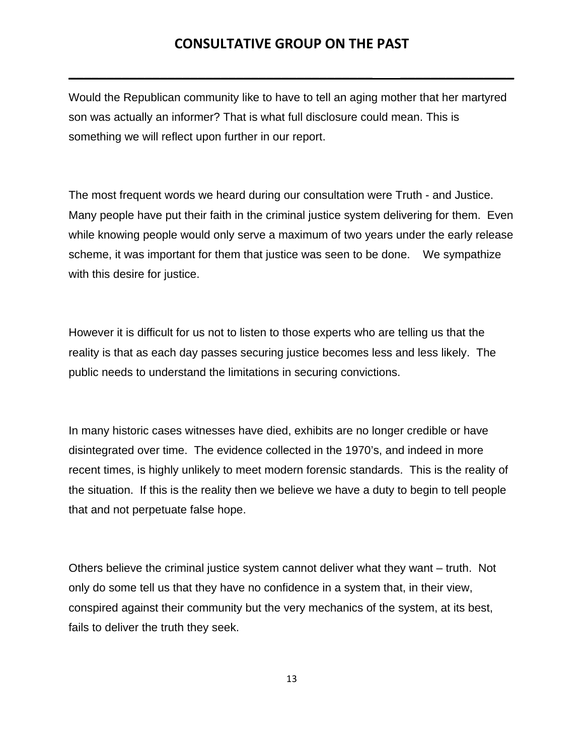**\_\_\_\_\_\_\_\_\_\_\_\_\_\_\_\_\_\_\_\_\_\_\_\_\_\_\_\_\_\_\_\_\_\_\_\_\_\_\_\_ \_\_\_\_\_\_\_\_\_\_\_\_\_\_\_**

Would the Republican community like to have to tell an aging mother that her martyred son was actually an informer? That is what full disclosure could mean. This is something we will reflect upon further in our report.

The most frequent words we heard during our consultation were Truth - and Justice. Many people have put their faith in the criminal justice system delivering for them. Even while knowing people would only serve a maximum of two years under the early release scheme, it was important for them that justice was seen to be done. We sympathize with this desire for justice.

However it is difficult for us not to listen to those experts who are telling us that the reality is that as each day passes securing justice becomes less and less likely. The public needs to understand the limitations in securing convictions.

In many historic cases witnesses have died, exhibits are no longer credible or have disintegrated over time. The evidence collected in the 1970's, and indeed in more recent times, is highly unlikely to meet modern forensic standards. This is the reality of the situation. If this is the reality then we believe we have a duty to begin to tell people that and not perpetuate false hope.

Others believe the criminal justice system cannot deliver what they want – truth. Not only do some tell us that they have no confidence in a system that, in their view, conspired against their community but the very mechanics of the system, at its best, fails to deliver the truth they seek.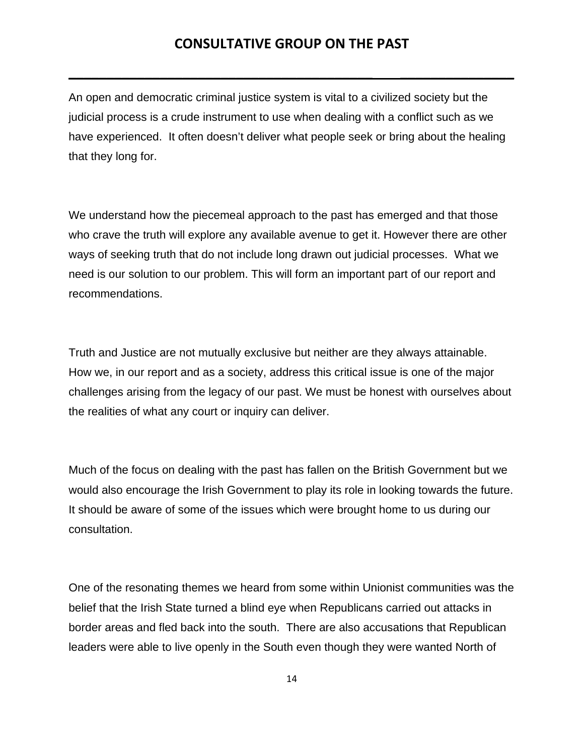**\_\_\_\_\_\_\_\_\_\_\_\_\_\_\_\_\_\_\_\_\_\_\_\_\_\_\_\_\_\_\_\_\_\_\_\_\_\_\_\_ \_\_\_\_\_\_\_\_\_\_\_\_\_\_\_**

An open and democratic criminal justice system is vital to a civilized society but the judicial process is a crude instrument to use when dealing with a conflict such as we have experienced. It often doesn't deliver what people seek or bring about the healing that they long for.

We understand how the piecemeal approach to the past has emerged and that those who crave the truth will explore any available avenue to get it. However there are other ways of seeking truth that do not include long drawn out judicial processes. What we need is our solution to our problem. This will form an important part of our report and recommendations.

Truth and Justice are not mutually exclusive but neither are they always attainable. How we, in our report and as a society, address this critical issue is one of the major challenges arising from the legacy of our past. We must be honest with ourselves about the realities of what any court or inquiry can deliver.

Much of the focus on dealing with the past has fallen on the British Government but we would also encourage the Irish Government to play its role in looking towards the future. It should be aware of some of the issues which were brought home to us during our consultation.

One of the resonating themes we heard from some within Unionist communities was the belief that the Irish State turned a blind eye when Republicans carried out attacks in border areas and fled back into the south. There are also accusations that Republican leaders were able to live openly in the South even though they were wanted North of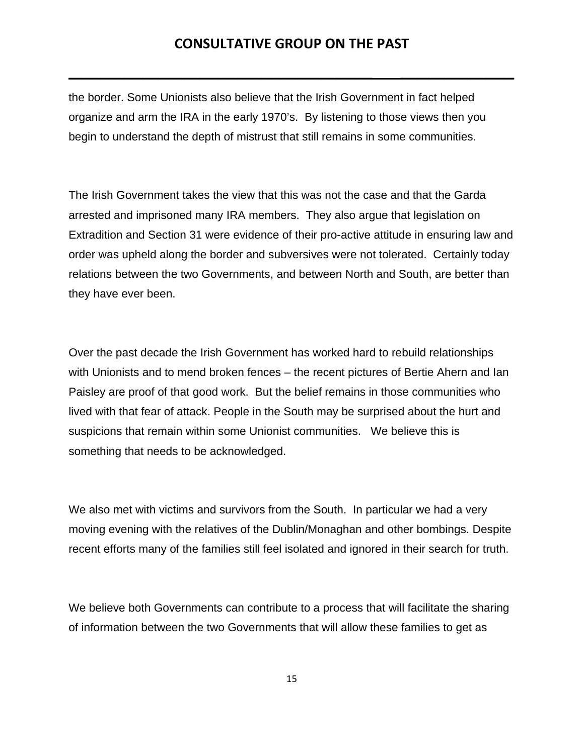**\_\_\_\_\_\_\_\_\_\_\_\_\_\_\_\_\_\_\_\_\_\_\_\_\_\_\_\_\_\_\_\_\_\_\_\_\_\_\_\_ \_\_\_\_\_\_\_\_\_\_\_\_\_\_\_**

the border. Some Unionists also believe that the Irish Government in fact helped organize and arm the IRA in the early 1970's. By listening to those views then you begin to understand the depth of mistrust that still remains in some communities.

The Irish Government takes the view that this was not the case and that the Garda arrested and imprisoned many IRA members. They also argue that legislation on Extradition and Section 31 were evidence of their pro-active attitude in ensuring law and order was upheld along the border and subversives were not tolerated. Certainly today relations between the two Governments, and between North and South, are better than they have ever been.

Over the past decade the Irish Government has worked hard to rebuild relationships with Unionists and to mend broken fences – the recent pictures of Bertie Ahern and Ian Paisley are proof of that good work. But the belief remains in those communities who lived with that fear of attack. People in the South may be surprised about the hurt and suspicions that remain within some Unionist communities. We believe this is something that needs to be acknowledged.

We also met with victims and survivors from the South. In particular we had a very moving evening with the relatives of the Dublin/Monaghan and other bombings. Despite recent efforts many of the families still feel isolated and ignored in their search for truth.

We believe both Governments can contribute to a process that will facilitate the sharing of information between the two Governments that will allow these families to get as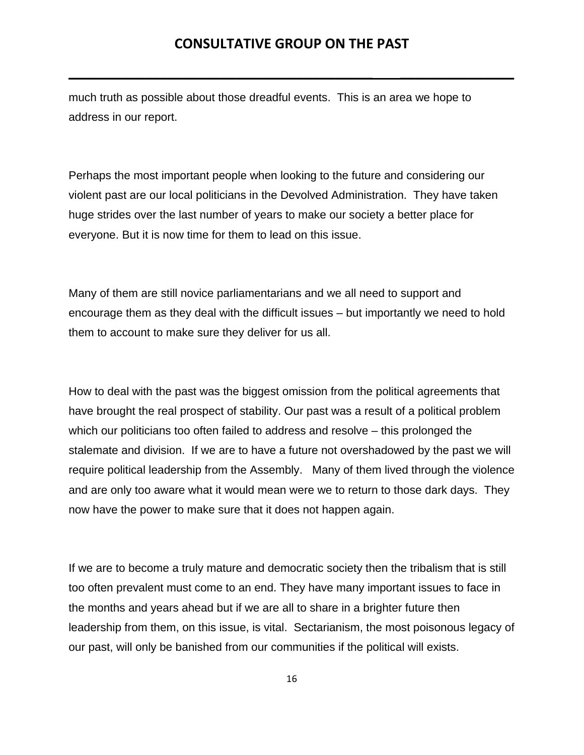**\_\_\_\_\_\_\_\_\_\_\_\_\_\_\_\_\_\_\_\_\_\_\_\_\_\_\_\_\_\_\_\_\_\_\_\_\_\_\_\_ \_\_\_\_\_\_\_\_\_\_\_\_\_\_\_**

much truth as possible about those dreadful events. This is an area we hope to address in our report.

Perhaps the most important people when looking to the future and considering our violent past are our local politicians in the Devolved Administration. They have taken huge strides over the last number of years to make our society a better place for everyone. But it is now time for them to lead on this issue.

Many of them are still novice parliamentarians and we all need to support and encourage them as they deal with the difficult issues – but importantly we need to hold them to account to make sure they deliver for us all.

How to deal with the past was the biggest omission from the political agreements that have brought the real prospect of stability. Our past was a result of a political problem which our politicians too often failed to address and resolve – this prolonged the stalemate and division. If we are to have a future not overshadowed by the past we will require political leadership from the Assembly. Many of them lived through the violence and are only too aware what it would mean were we to return to those dark days. They now have the power to make sure that it does not happen again.

If we are to become a truly mature and democratic society then the tribalism that is still too often prevalent must come to an end. They have many important issues to face in the months and years ahead but if we are all to share in a brighter future then leadership from them, on this issue, is vital. Sectarianism, the most poisonous legacy of our past, will only be banished from our communities if the political will exists.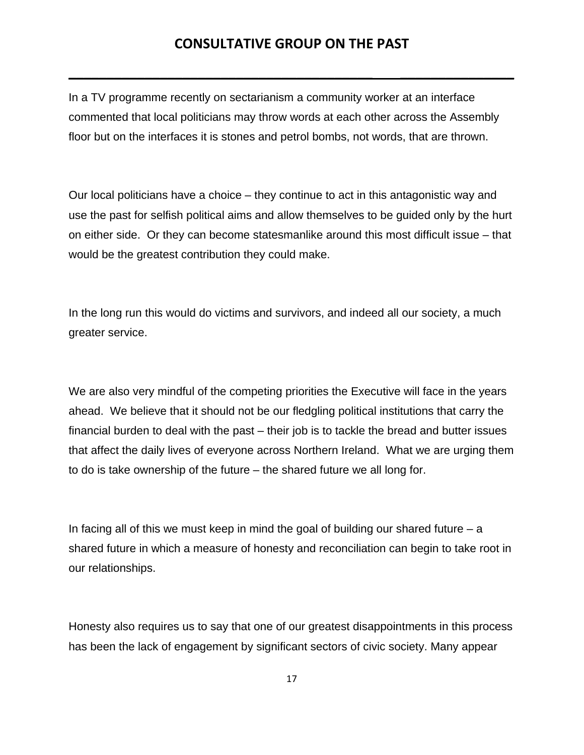**\_\_\_\_\_\_\_\_\_\_\_\_\_\_\_\_\_\_\_\_\_\_\_\_\_\_\_\_\_\_\_\_\_\_\_\_\_\_\_\_ \_\_\_\_\_\_\_\_\_\_\_\_\_\_\_**

In a TV programme recently on sectarianism a community worker at an interface commented that local politicians may throw words at each other across the Assembly floor but on the interfaces it is stones and petrol bombs, not words, that are thrown.

Our local politicians have a choice – they continue to act in this antagonistic way and use the past for selfish political aims and allow themselves to be guided only by the hurt on either side. Or they can become statesmanlike around this most difficult issue – that would be the greatest contribution they could make.

In the long run this would do victims and survivors, and indeed all our society, a much greater service.

We are also very mindful of the competing priorities the Executive will face in the years ahead. We believe that it should not be our fledgling political institutions that carry the financial burden to deal with the past – their job is to tackle the bread and butter issues that affect the daily lives of everyone across Northern Ireland. What we are urging them to do is take ownership of the future – the shared future we all long for.

In facing all of this we must keep in mind the goal of building our shared future – a shared future in which a measure of honesty and reconciliation can begin to take root in our relationships.

Honesty also requires us to say that one of our greatest disappointments in this process has been the lack of engagement by significant sectors of civic society. Many appear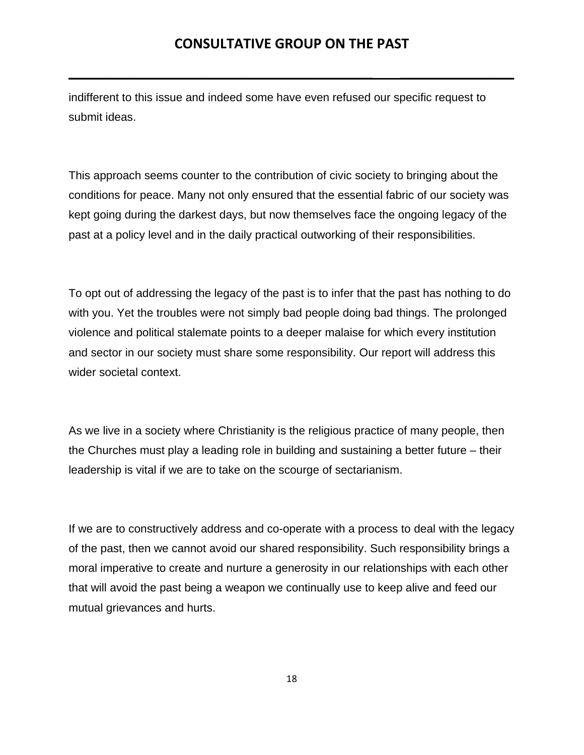**\_\_\_\_\_\_\_\_\_\_\_\_\_\_\_\_\_\_\_\_\_\_\_\_\_\_\_\_\_\_\_\_\_\_\_\_\_\_\_\_ \_\_\_\_\_\_\_\_\_\_\_\_\_\_\_**

indifferent to this issue and indeed some have even refused our specific request to submit ideas.

This approach seems counter to the contribution of civic society to bringing about the conditions for peace. Many not only ensured that the essential fabric of our society was kept going during the darkest days, but now themselves face the ongoing legacy of the past at a policy level and in the daily practical outworking of their responsibilities.

To opt out of addressing the legacy of the past is to infer that the past has nothing to do with you. Yet the troubles were not simply bad people doing bad things. The prolonged violence and political stalemate points to a deeper malaise for which every institution and sector in our society must share some responsibility. Our report will address this wider societal context.

As we live in a society where Christianity is the religious practice of many people, then the Churches must play a leading role in building and sustaining a better future – their leadership is vital if we are to take on the scourge of sectarianism.

If we are to constructively address and co-operate with a process to deal with the legacy of the past, then we cannot avoid our shared responsibility. Such responsibility brings a moral imperative to create and nurture a generosity in our relationships with each other that will avoid the past being a weapon we continually use to keep alive and feed our mutual grievances and hurts.